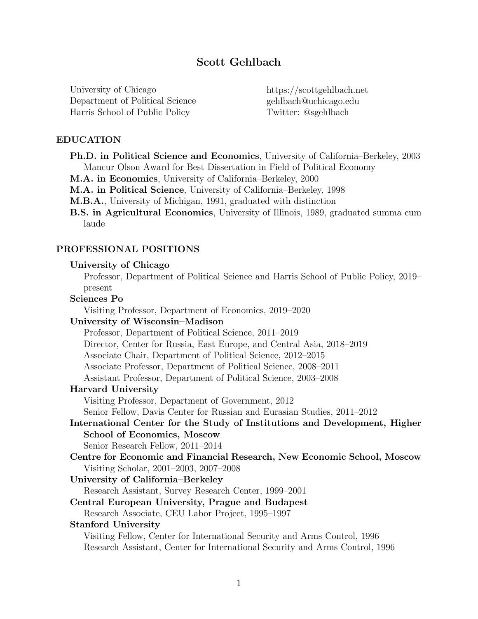# Scott Gehlbach

University of Chicago Department of Political Science Harris School of Public Policy

https://scottgehlbach.net gehlbach@uchicago.edu Twitter: @sgehlbach

## EDUCATION

- Ph.D. in Political Science and Economics, University of California–Berkeley, 2003 Mancur Olson Award for Best Dissertation in Field of Political Economy
- M.A. in Economics, University of California–Berkeley, 2000
- M.A. in Political Science, University of California–Berkeley, 1998
- M.B.A., University of Michigan, 1991, graduated with distinction
- B.S. in Agricultural Economics, University of Illinois, 1989, graduated summa cum laude

## PROFESSIONAL POSITIONS

### University of Chicago

Professor, Department of Political Science and Harris School of Public Policy, 2019– present

## Sciences Po

Visiting Professor, Department of Economics, 2019–2020

## University of Wisconsin–Madison

Professor, Department of Political Science, 2011–2019

Director, Center for Russia, East Europe, and Central Asia, 2018–2019

Associate Chair, Department of Political Science, 2012–2015

Associate Professor, Department of Political Science, 2008–2011

Assistant Professor, Department of Political Science, 2003–2008

### Harvard University

Visiting Professor, Department of Government, 2012

Senior Fellow, Davis Center for Russian and Eurasian Studies, 2011–2012

International Center for the Study of Institutions and Development, Higher School of Economics, Moscow

Senior Research Fellow, 2011–2014

Centre for Economic and Financial Research, New Economic School, Moscow Visiting Scholar, 2001–2003, 2007–2008

### University of California–Berkeley

Research Assistant, Survey Research Center, 1999–2001

## Central European University, Prague and Budapest

Research Associate, CEU Labor Project, 1995–1997

### Stanford University

Visiting Fellow, Center for International Security and Arms Control, 1996 Research Assistant, Center for International Security and Arms Control, 1996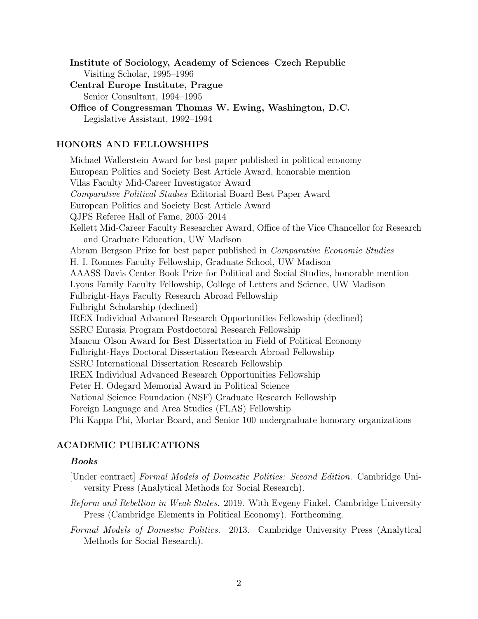Institute of Sociology, Academy of Sciences–Czech Republic Visiting Scholar, 1995–1996

Central Europe Institute, Prague Senior Consultant, 1994–1995

Office of Congressman Thomas W. Ewing, Washington, D.C. Legislative Assistant, 1992–1994

## HONORS AND FELLOWSHIPS

Michael Wallerstein Award for best paper published in political economy European Politics and Society Best Article Award, honorable mention Vilas Faculty Mid-Career Investigator Award *Comparative Political Studies* Editorial Board Best Paper Award European Politics and Society Best Article Award QJPS Referee Hall of Fame, 2005–2014 Kellett Mid-Career Faculty Researcher Award, Office of the Vice Chancellor for Research and Graduate Education, UW Madison Abram Bergson Prize for best paper published in *Comparative Economic Studies* H. I. Romnes Faculty Fellowship, Graduate School, UW Madison AAASS Davis Center Book Prize for Political and Social Studies, honorable mention Lyons Family Faculty Fellowship, College of Letters and Science, UW Madison Fulbright-Hays Faculty Research Abroad Fellowship Fulbright Scholarship (declined) IREX Individual Advanced Research Opportunities Fellowship (declined) SSRC Eurasia Program Postdoctoral Research Fellowship Mancur Olson Award for Best Dissertation in Field of Political Economy Fulbright-Hays Doctoral Dissertation Research Abroad Fellowship SSRC International Dissertation Research Fellowship IREX Individual Advanced Research Opportunities Fellowship Peter H. Odegard Memorial Award in Political Science National Science Foundation (NSF) Graduate Research Fellowship Foreign Language and Area Studies (FLAS) Fellowship Phi Kappa Phi, Mortar Board, and Senior 100 undergraduate honorary organizations

## ACADEMIC PUBLICATIONS

## *Books*

- [Under contract] *Formal Models of Domestic Politics: Second Edition.* Cambridge University Press (Analytical Methods for Social Research).
- *Reform and Rebellion in Weak States.* 2019. With Evgeny Finkel. Cambridge University Press (Cambridge Elements in Political Economy). Forthcoming.
- *Formal Models of Domestic Politics.* 2013. Cambridge University Press (Analytical Methods for Social Research).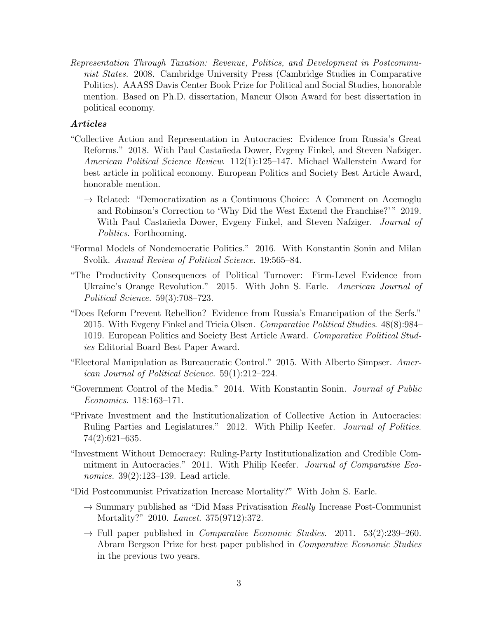*Representation Through Taxation: Revenue, Politics, and Development in Postcommunist States.* 2008. Cambridge University Press (Cambridge Studies in Comparative Politics). AAASS Davis Center Book Prize for Political and Social Studies, honorable mention. Based on Ph.D. dissertation, Mancur Olson Award for best dissertation in political economy.

## *Articles*

- "Collective Action and Representation in Autocracies: Evidence from Russia's Great Reforms." 2018. With Paul Castañeda Dower, Evgeny Finkel, and Steven Nafziger. *American Political Science Review*. 112(1):125–147. Michael Wallerstein Award for best article in political economy. European Politics and Society Best Article Award, honorable mention.
	- $\rightarrow$  Related: "Democratization as a Continuous Choice: A Comment on Acemoglu and Robinson's Correction to 'Why Did the West Extend the Franchise?' " 2019. With Paul Castan<sup>d</sup>eda Dower, Evgeny Finkel, and Steven Nafziger. *Journal of Politics.* Forthcoming.
- "Formal Models of Nondemocratic Politics." 2016. With Konstantin Sonin and Milan Svolik. *Annual Review of Political Science.* 19:565–84.
- "The Productivity Consequences of Political Turnover: Firm-Level Evidence from Ukraine's Orange Revolution." 2015. With John S. Earle. *American Journal of Political Science.* 59(3):708–723.
- "Does Reform Prevent Rebellion? Evidence from Russia's Emancipation of the Serfs." 2015. With Evgeny Finkel and Tricia Olsen. *Comparative Political Studies*. 48(8):984– 1019. European Politics and Society Best Article Award. *Comparative Political Studies* Editorial Board Best Paper Award.
- "Electoral Manipulation as Bureaucratic Control." 2015. With Alberto Simpser. *American Journal of Political Science.* 59(1):212–224.
- "Government Control of the Media." 2014. With Konstantin Sonin. *Journal of Public Economics.* 118:163–171.
- "Private Investment and the Institutionalization of Collective Action in Autocracies: Ruling Parties and Legislatures." 2012. With Philip Keefer. *Journal of Politics.* 74(2):621–635.
- "Investment Without Democracy: Ruling-Party Institutionalization and Credible Commitment in Autocracies." 2011. With Philip Keefer. *Journal of Comparative Economics.* 39(2):123–139. Lead article.

"Did Postcommunist Privatization Increase Mortality?" With John S. Earle.

- → Summary published as "Did Mass Privatisation *Really* Increase Post-Communist Mortality?" 2010. *Lancet*. 375(9712):372.
- → Full paper published in *Comparative Economic Studies*. 2011. 53(2):239–260. Abram Bergson Prize for best paper published in *Comparative Economic Studies* in the previous two years.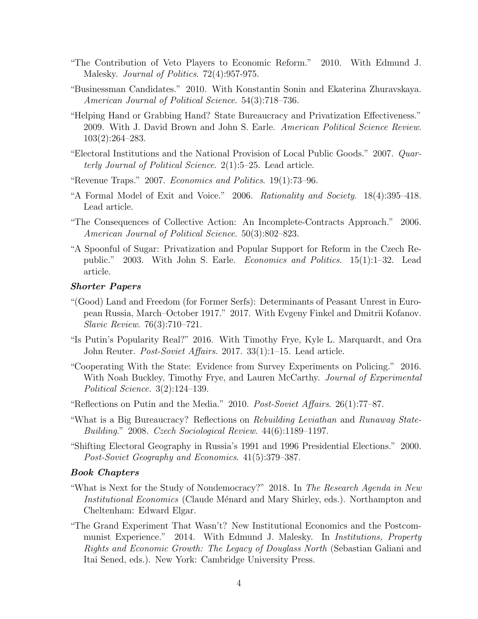- "The Contribution of Veto Players to Economic Reform." 2010. With Edmund J. Malesky. *Journal of Politics*. 72(4):957-975.
- "Businessman Candidates." 2010. With Konstantin Sonin and Ekaterina Zhuravskaya. *American Journal of Political Science*. 54(3):718–736.
- "Helping Hand or Grabbing Hand? State Bureaucracy and Privatization Effectiveness." 2009. With J. David Brown and John S. Earle. *American Political Science Review*. 103(2):264–283.
- "Electoral Institutions and the National Provision of Local Public Goods." 2007. *Quarterly Journal of Political Science*. 2(1):5–25. Lead article.
- "Revenue Traps." 2007. *Economics and Politics*. 19(1):73–96.
- "A Formal Model of Exit and Voice." 2006. *Rationality and Society*. 18(4):395–418. Lead article.
- "The Consequences of Collective Action: An Incomplete-Contracts Approach." 2006. *American Journal of Political Science*. 50(3):802–823.
- "A Spoonful of Sugar: Privatization and Popular Support for Reform in the Czech Republic." 2003. With John S. Earle. *Economics and Politics*. 15(1):1–32. Lead article.

#### *Shorter Papers*

- "(Good) Land and Freedom (for Former Serfs): Determinants of Peasant Unrest in European Russia, March–October 1917." 2017. With Evgeny Finkel and Dmitrii Kofanov. *Slavic Review*. 76(3):710–721.
- "Is Putin's Popularity Real?" 2016. With Timothy Frye, Kyle L. Marquardt, and Ora John Reuter. *Post-Soviet A*ff*airs*. 2017. 33(1):1–15. Lead article.
- "Cooperating With the State: Evidence from Survey Experiments on Policing." 2016. With Noah Buckley, Timothy Frye, and Lauren McCarthy. *Journal of Experimental Political Science.* 3(2):124–139.
- "Reflections on Putin and the Media." 2010. *Post-Soviet A*ff*airs*. 26(1):77–87.
- "What is a Big Bureaucracy? Reflections on *Rebuilding Leviathan* and *Runaway State-Building*." 2008. *Czech Sociological Review*. 44(6):1189–1197.
- "Shifting Electoral Geography in Russia's 1991 and 1996 Presidential Elections." 2000. *Post-Soviet Geography and Economics*. 41(5):379–387.

#### *Book Chapters*

- "What is Next for the Study of Nondemocracy?" 2018. In *The Research Agenda in New Institutional Economics* (Claude Ménard and Mary Shirley, eds.). Northampton and Cheltenham: Edward Elgar.
- "The Grand Experiment That Wasn't? New Institutional Economics and the Postcommunist Experience." 2014. With Edmund J. Malesky. In *Institutions, Property Rights and Economic Growth: The Legacy of Douglass North* (Sebastian Galiani and Itai Sened, eds.). New York: Cambridge University Press.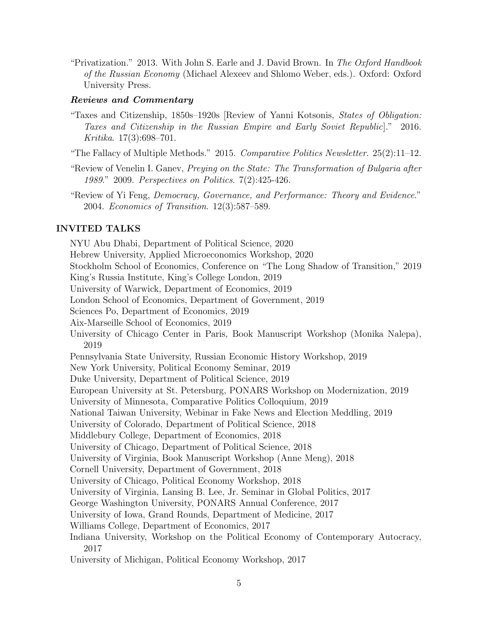"Privatization." 2013. With John S. Earle and J. David Brown. In *The Oxford Handbook of the Russian Economy* (Michael Alexeev and Shlomo Weber, eds.). Oxford: Oxford University Press.

## *Reviews and Commentary*

- "Taxes and Citizenship, 1850s–1920s [Review of Yanni Kotsonis, *States of Obligation: Taxes and Citizenship in the Russian Empire and Early Soviet Republic*]." 2016. *Kritika*. 17(3):698–701.
- "The Fallacy of Multiple Methods." 2015. *Comparative Politics Newsletter*. 25(2):11–12.
- "Review of Venelin I. Ganev, *Preying on the State: The Transformation of Bulgaria after 1989*." 2009. *Perspectives on Politics*. 7(2):425-426.
- "Review of Yi Feng, *Democracy, Governance, and Performance: Theory and Evidence*." 2004. *Economics of Transition*. 12(3):587–589.

## INVITED TALKS

NYU Abu Dhabi, Department of Political Science, 2020 Hebrew University, Applied Microeconomics Workshop, 2020 Stockholm School of Economics, Conference on "The Long Shadow of Transition," 2019 King's Russia Institute, King's College London, 2019 University of Warwick, Department of Economics, 2019 London School of Economics, Department of Government, 2019 Sciences Po, Department of Economics, 2019 Aix-Marseille School of Economics, 2019 University of Chicago Center in Paris, Book Manuscript Workshop (Monika Nalepa), 2019 Pennsylvania State University, Russian Economic History Workshop, 2019 New York University, Political Economy Seminar, 2019 Duke University, Department of Political Science, 2019 European University at St. Petersburg, PONARS Workshop on Modernization, 2019 University of Minnesota, Comparative Politics Colloquium, 2019 National Taiwan University, Webinar in Fake News and Election Meddling, 2019 University of Colorado, Department of Political Science, 2018 Middlebury College, Department of Economics, 2018 University of Chicago, Department of Political Science, 2018 University of Virginia, Book Manuscript Workshop (Anne Meng), 2018 Cornell University, Department of Government, 2018 University of Chicago, Political Economy Workshop, 2018 University of Virginia, Lansing B. Lee, Jr. Seminar in Global Politics, 2017 George Washington University, PONARS Annual Conference, 2017 University of Iowa, Grand Rounds, Department of Medicine, 2017 Williams College, Department of Economics, 2017 Indiana University, Workshop on the Political Economy of Contemporary Autocracy, 2017 University of Michigan, Political Economy Workshop, 2017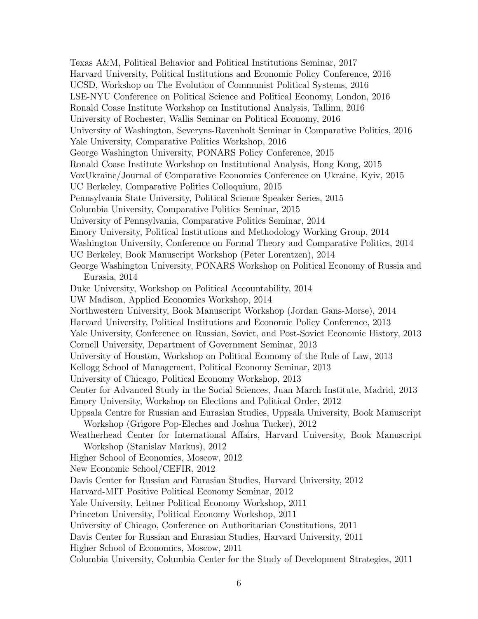Texas A&M, Political Behavior and Political Institutions Seminar, 2017 Harvard University, Political Institutions and Economic Policy Conference, 2016 UCSD, Workshop on The Evolution of Communist Political Systems, 2016 LSE-NYU Conference on Political Science and Political Economy, London, 2016 Ronald Coase Institute Workshop on Institutional Analysis, Tallinn, 2016 University of Rochester, Wallis Seminar on Political Economy, 2016 University of Washington, Severyns-Ravenholt Seminar in Comparative Politics, 2016 Yale University, Comparative Politics Workshop, 2016 George Washington University, PONARS Policy Conference, 2015 Ronald Coase Institute Workshop on Institutional Analysis, Hong Kong, 2015 VoxUkraine/Journal of Comparative Economics Conference on Ukraine, Kyiv, 2015 UC Berkeley, Comparative Politics Colloquium, 2015 Pennsylvania State University, Political Science Speaker Series, 2015 Columbia University, Comparative Politics Seminar, 2015 University of Pennsylvania, Comparative Politics Seminar, 2014 Emory University, Political Institutions and Methodology Working Group, 2014 Washington University, Conference on Formal Theory and Comparative Politics, 2014 UC Berkeley, Book Manuscript Workshop (Peter Lorentzen), 2014 George Washington University, PONARS Workshop on Political Economy of Russia and Eurasia, 2014 Duke University, Workshop on Political Accountability, 2014 UW Madison, Applied Economics Workshop, 2014 Northwestern University, Book Manuscript Workshop (Jordan Gans-Morse), 2014 Harvard University, Political Institutions and Economic Policy Conference, 2013 Yale University, Conference on Russian, Soviet, and Post-Soviet Economic History, 2013 Cornell University, Department of Government Seminar, 2013 University of Houston, Workshop on Political Economy of the Rule of Law, 2013 Kellogg School of Management, Political Economy Seminar, 2013 University of Chicago, Political Economy Workshop, 2013 Center for Advanced Study in the Social Sciences, Juan March Institute, Madrid, 2013 Emory University, Workshop on Elections and Political Order, 2012 Uppsala Centre for Russian and Eurasian Studies, Uppsala University, Book Manuscript Workshop (Grigore Pop-Eleches and Joshua Tucker), 2012 Weatherhead Center for International Affairs, Harvard University, Book Manuscript Workshop (Stanislav Markus), 2012 Higher School of Economics, Moscow, 2012 New Economic School/CEFIR, 2012 Davis Center for Russian and Eurasian Studies, Harvard University, 2012 Harvard-MIT Positive Political Economy Seminar, 2012 Yale University, Leitner Political Economy Workshop, 2011 Princeton University, Political Economy Workshop, 2011 University of Chicago, Conference on Authoritarian Constitutions, 2011 Davis Center for Russian and Eurasian Studies, Harvard University, 2011 Higher School of Economics, Moscow, 2011 Columbia University, Columbia Center for the Study of Development Strategies, 2011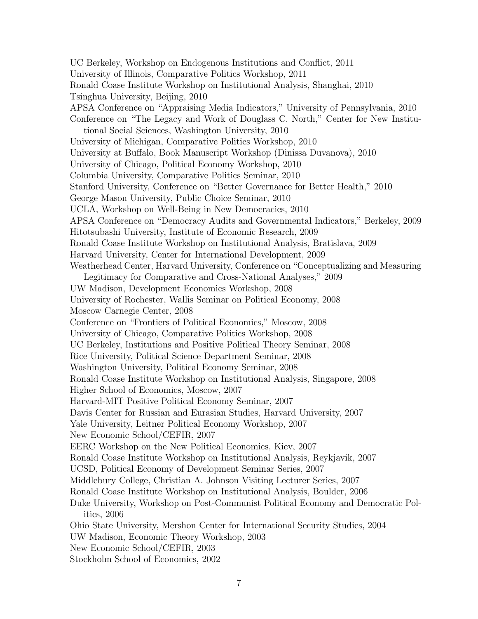UC Berkeley, Workshop on Endogenous Institutions and Conflict, 2011 University of Illinois, Comparative Politics Workshop, 2011 Ronald Coase Institute Workshop on Institutional Analysis, Shanghai, 2010 Tsinghua University, Beijing, 2010 APSA Conference on "Appraising Media Indicators," University of Pennsylvania, 2010 Conference on "The Legacy and Work of Douglass C. North," Center for New Institutional Social Sciences, Washington University, 2010 University of Michigan, Comparative Politics Workshop, 2010 University at Buffalo, Book Manuscript Workshop (Dinissa Duvanova), 2010 University of Chicago, Political Economy Workshop, 2010 Columbia University, Comparative Politics Seminar, 2010 Stanford University, Conference on "Better Governance for Better Health," 2010 George Mason University, Public Choice Seminar, 2010 UCLA, Workshop on Well-Being in New Democracies, 2010 APSA Conference on "Democracy Audits and Governmental Indicators," Berkeley, 2009 Hitotsubashi University, Institute of Economic Research, 2009 Ronald Coase Institute Workshop on Institutional Analysis, Bratislava, 2009 Harvard University, Center for International Development, 2009 Weatherhead Center, Harvard University, Conference on "Conceptualizing and Measuring Legitimacy for Comparative and Cross-National Analyses," 2009 UW Madison, Development Economics Workshop, 2008 University of Rochester, Wallis Seminar on Political Economy, 2008 Moscow Carnegie Center, 2008 Conference on "Frontiers of Political Economics," Moscow, 2008 University of Chicago, Comparative Politics Workshop, 2008 UC Berkeley, Institutions and Positive Political Theory Seminar, 2008 Rice University, Political Science Department Seminar, 2008 Washington University, Political Economy Seminar, 2008 Ronald Coase Institute Workshop on Institutional Analysis, Singapore, 2008 Higher School of Economics, Moscow, 2007 Harvard-MIT Positive Political Economy Seminar, 2007 Davis Center for Russian and Eurasian Studies, Harvard University, 2007 Yale University, Leitner Political Economy Workshop, 2007 New Economic School/CEFIR, 2007 EERC Workshop on the New Political Economics, Kiev, 2007 Ronald Coase Institute Workshop on Institutional Analysis, Reykjavik, 2007 UCSD, Political Economy of Development Seminar Series, 2007 Middlebury College, Christian A. Johnson Visiting Lecturer Series, 2007 Ronald Coase Institute Workshop on Institutional Analysis, Boulder, 2006 Duke University, Workshop on Post-Communist Political Economy and Democratic Politics, 2006 Ohio State University, Mershon Center for International Security Studies, 2004 UW Madison, Economic Theory Workshop, 2003 New Economic School/CEFIR, 2003 Stockholm School of Economics, 2002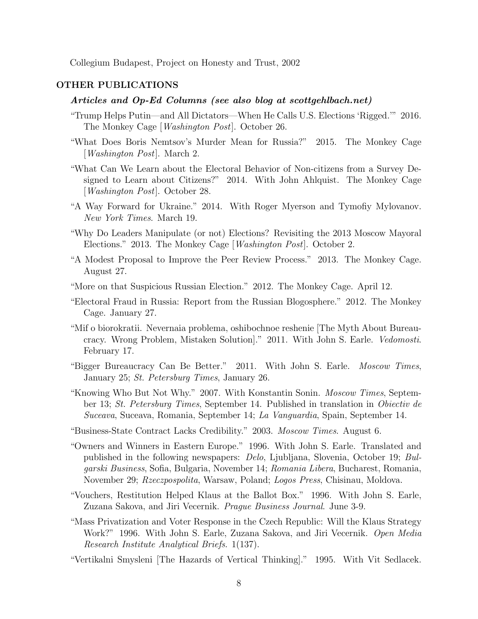Collegium Budapest, Project on Honesty and Trust, 2002

#### OTHER PUBLICATIONS

## *Articles and Op-Ed Columns (see also blog at scottgehlbach.net)*

- "Trump Helps Putin—and All Dictators—When He Calls U.S. Elections 'Rigged.'" 2016. The Monkey Cage [*Washington Post*]. October 26.
- "What Does Boris Nemtsov's Murder Mean for Russia?" 2015. The Monkey Cage [*Washington Post*]. March 2.
- "What Can We Learn about the Electoral Behavior of Non-citizens from a Survey Designed to Learn about Citizens?" 2014. With John Ahlquist. The Monkey Cage [*Washington Post*]. October 28.
- "A Way Forward for Ukraine." 2014. With Roger Myerson and Tymofiy Mylovanov. *New York Times*. March 19.
- "Why Do Leaders Manipulate (or not) Elections? Revisiting the 2013 Moscow Mayoral Elections." 2013. The Monkey Cage [*Washington Post*]. October 2.
- "A Modest Proposal to Improve the Peer Review Process." 2013. The Monkey Cage. August 27.
- "More on that Suspicious Russian Election." 2012. The Monkey Cage. April 12.
- "Electoral Fraud in Russia: Report from the Russian Blogosphere." 2012. The Monkey Cage. January 27.
- "Mif o biorokratii. Nevernaia problema, oshibochnoe reshenie [The Myth About Bureaucracy. Wrong Problem, Mistaken Solution]." 2011. With John S. Earle. *Vedomosti*. February 17.
- "Bigger Bureaucracy Can Be Better." 2011. With John S. Earle. *Moscow Times*, January 25; *St. Petersburg Times*, January 26.
- "Knowing Who But Not Why." 2007. With Konstantin Sonin. *Moscow Times*, September 13; *St. Petersburg Times*, September 14. Published in translation in *Obiectiv de Suceava*, Suceava, Romania, September 14; *La Vanguardia*, Spain, September 14.
- "Business-State Contract Lacks Credibility." 2003. *Moscow Times*. August 6.
- "Owners and Winners in Eastern Europe." 1996. With John S. Earle. Translated and published in the following newspapers: *Delo*, Ljubljana, Slovenia, October 19; *Bulgarski Business*, Sofia, Bulgaria, November 14; *Romania Libera*, Bucharest, Romania, November 29; *Rzeczpospolita*, Warsaw, Poland; *Logos Press*, Chisinau, Moldova.
- "Vouchers, Restitution Helped Klaus at the Ballot Box." 1996. With John S. Earle, Zuzana Sakova, and Jiri Vecernik. *Prague Business Journal*. June 3-9.
- "Mass Privatization and Voter Response in the Czech Republic: Will the Klaus Strategy Work?" 1996. With John S. Earle, Zuzana Sakova, and Jiri Vecernik. *Open Media Research Institute Analytical Briefs*. 1(137).
- "Vertikalni Smysleni [The Hazards of Vertical Thinking]." 1995. With Vit Sedlacek.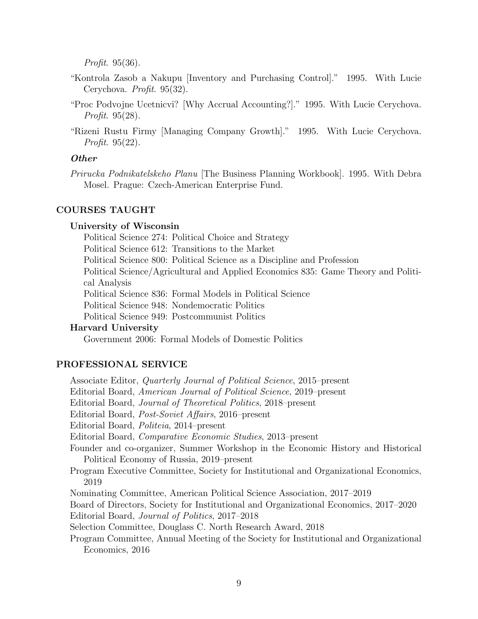*Profit*. 95(36).

- "Kontrola Zasob a Nakupu [Inventory and Purchasing Control]." 1995. With Lucie Cerychova. *Profit*. 95(32).
- "Proc Podvojne Ucetnicvi? [Why Accrual Accounting?]." 1995. With Lucie Cerychova. *Profit*. 95(28).
- "Rizeni Rustu Firmy [Managing Company Growth]." 1995. With Lucie Cerychova. *Profit*. 95(22).

### *Other*

*Prirucka Podnikatelskeho Planu* [The Business Planning Workbook]. 1995. With Debra Mosel. Prague: Czech-American Enterprise Fund.

## COURSES TAUGHT

### University of Wisconsin

Political Science 274: Political Choice and Strategy

Political Science 612: Transitions to the Market

Political Science 800: Political Science as a Discipline and Profession

Political Science/Agricultural and Applied Economics 835: Game Theory and Political Analysis

Political Science 836: Formal Models in Political Science

Political Science 948: Nondemocratic Politics

Political Science 949: Postcommunist Politics

## Harvard University

Government 2006: Formal Models of Domestic Politics

### PROFESSIONAL SERVICE

Associate Editor, *Quarterly Journal of Political Science*, 2015–present Editorial Board, *American Journal of Political Science*, 2019–present Editorial Board, *Journal of Theoretical Politics*, 2018–present Editorial Board, *Post-Soviet A*ff*airs*, 2016–present Editorial Board, *Politeia*, 2014–present Editorial Board, *Comparative Economic Studies*, 2013–present Founder and co-organizer, Summer Workshop in the Economic History and Historical Political Economy of Russia, 2019–present Program Executive Committee, Society for Institutional and Organizational Economics, 2019 Nominating Committee, American Political Science Association, 2017–2019 Board of Directors, Society for Institutional and Organizational Economics, 2017–2020 Editorial Board, *Journal of Politics*, 2017–2018 Selection Committee, Douglass C. North Research Award, 2018 Program Committee, Annual Meeting of the Society for Institutional and Organizational Economics, 2016